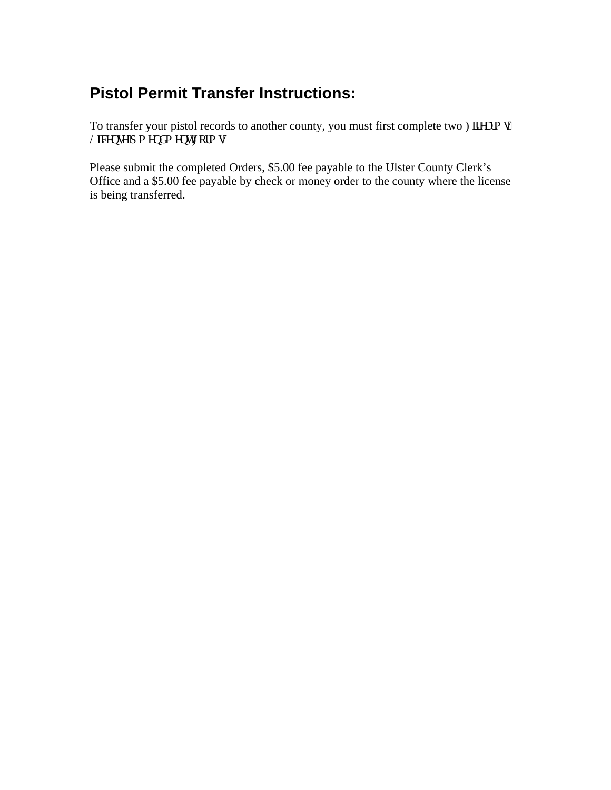## **Pistol Permit Transfer Instructions:**

To transfer your pistol records to another county, you must first complete two Hkgcto u" Negpug'Co gpf o gpv'Hqto u0

Please submit the completed Orders, \$5.00 fee payable to the Ulster County Clerk's Office and a \$5.00 fee payable by check or money order to the county where the license is being transferred.